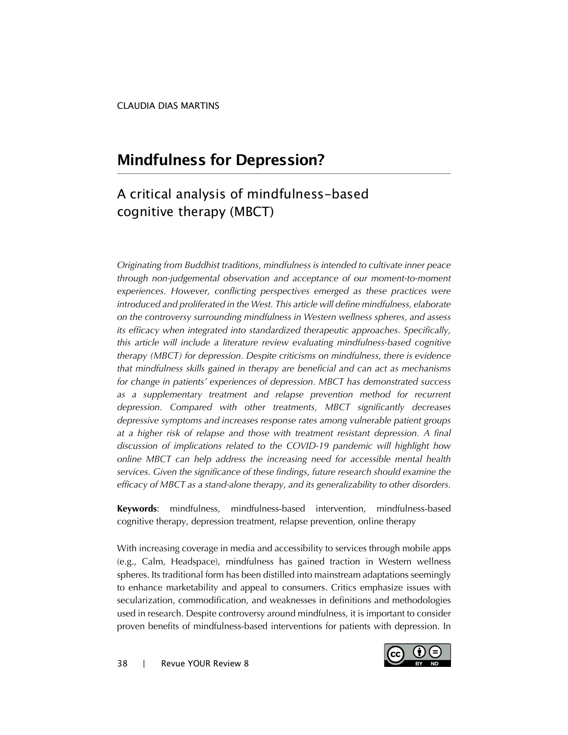# **Mindfulness for Depression?**

# A critical analysis of mindfulness-based cognitive therapy (MBCT)

*Originating from Buddhist traditions, mindfulness is intended to cultivate inner peace through non-judgemental observation and acceptance of our moment-to-moment experiences. However, conflicting perspectives emerged as these practices were introduced and proliferated in the West. This article will define mindfulness, elaborate on the controversy surrounding mindfulness in Western wellness spheres, and assess its efficacy when integrated into standardized therapeutic approaches. Specifically, this article will include a literature review evaluating mindfulness-based cognitive therapy (MBCT) for depression. Despite criticisms on mindfulness, there is evidence that mindfulness skills gained in therapy are beneficial and can act as mechanisms for change in patients' experiences of depression. MBCT has demonstrated success as a supplementary treatment and relapse prevention method for recurrent depression. Compared with other treatments, MBCT significantly decreases depressive symptoms and increases response rates among vulnerable patient groups at a higher risk of relapse and those with treatment resistant depression. A final discussion of implications related to the COVID-19 pandemic will highlight how online MBCT can help address the increasing need for accessible mental health services. Given the significance of these findings, future research should examine the efficacy of MBCT as a stand-alone therapy, and its generalizability to other disorders.*

**Keywords**: mindfulness, mindfulness-based intervention, mindfulness-based cognitive therapy, depression treatment, relapse prevention, online therapy

With increasing coverage in media and accessibility to services through mobile apps (e.g., Calm, Headspace), mindfulness has gained traction in Western wellness spheres. Its traditional form has been distilled into mainstream adaptations seemingly to enhance marketability and appeal to consumers. Critics emphasize issues with secularization, commodification, and weaknesses in definitions and methodologies used in research. Despite controversy around mindfulness, it is important to consider proven benefits of mindfulness-based interventions for patients with depression. In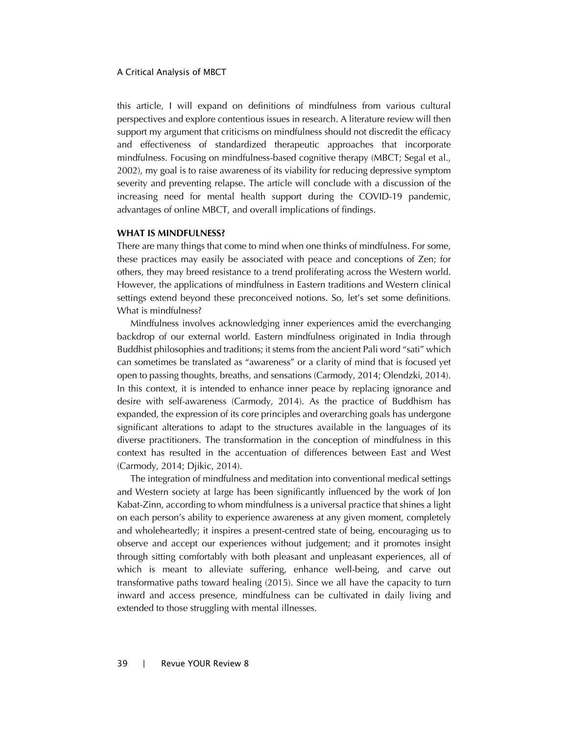this article, I will expand on definitions of mindfulness from various cultural perspectives and explore contentious issues in research. A literature review will then support my argument that criticisms on mindfulness should not discredit the efficacy and effectiveness of standardized therapeutic approaches that incorporate mindfulness. Focusing on mindfulness-based cognitive therapy (MBCT; Segal et al., 2002), my goal is to raise awareness of its viability for reducing depressive symptom severity and preventing relapse. The article will conclude with a discussion of the increasing need for mental health support during the COVID-19 pandemic, advantages of online MBCT, and overall implications of findings.

#### **WHAT IS MINDFULNESS?**

There are many things that come to mind when one thinks of mindfulness. For some, these practices may easily be associated with peace and conceptions of Zen; for others, they may breed resistance to a trend proliferating across the Western world. However, the applications of mindfulness in Eastern traditions and Western clinical settings extend beyond these preconceived notions. So, let's set some definitions. What is mindfulness?

Mindfulness involves acknowledging inner experiences amid the everchanging backdrop of our external world. Eastern mindfulness originated in India through Buddhist philosophies and traditions; it stems from the ancient Pali word "sati" which can sometimes be translated as "awareness" or a clarity of mind that is focused yet open to passing thoughts, breaths, and sensations (Carmody, 2014; Olendzki, 2014). In this context, it is intended to enhance inner peace by replacing ignorance and desire with self-awareness (Carmody, 2014). As the practice of Buddhism has expanded, the expression of its core principles and overarching goals has undergone significant alterations to adapt to the structures available in the languages of its diverse practitioners. The transformation in the conception of mindfulness in this context has resulted in the accentuation of differences between East and West (Carmody, 2014; Djikic, 2014).

The integration of mindfulness and meditation into conventional medical settings and Western society at large has been significantly influenced by the work of Jon Kabat-Zinn, according to whom mindfulness is a universal practice that shines a light on each person's ability to experience awareness at any given moment, completely and wholeheartedly; it inspires a present-centred state of being, encouraging us to observe and accept our experiences without judgement; and it promotes insight through sitting comfortably with both pleasant and unpleasant experiences, all of which is meant to alleviate suffering, enhance well-being, and carve out transformative paths toward healing (2015). Since we all have the capacity to turn inward and access presence, mindfulness can be cultivated in daily living and extended to those struggling with mental illnesses.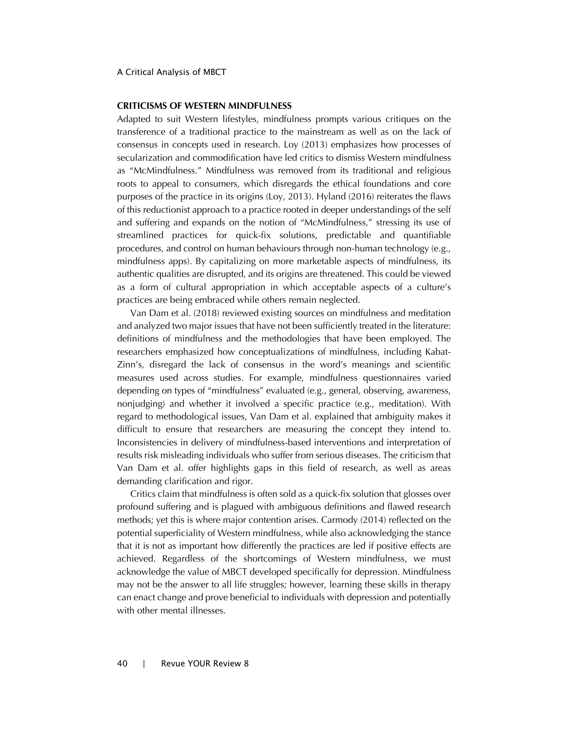## **CRITICISMS OF WESTERN MINDFULNESS**

Adapted to suit Western lifestyles, mindfulness prompts various critiques on the transference of a traditional practice to the mainstream as well as on the lack of consensus in concepts used in research. Loy (2013) emphasizes how processes of secularization and commodification have led critics to dismiss Western mindfulness as "McMindfulness." Mindfulness was removed from its traditional and religious roots to appeal to consumers, which disregards the ethical foundations and core purposes of the practice in its origins (Loy, 2013). Hyland (2016) reiterates the flaws of this reductionist approach to a practice rooted in deeper understandings of the self and suffering and expands on the notion of "McMindfulness," stressing its use of streamlined practices for quick-fix solutions, predictable and quantifiable procedures, and control on human behaviours through non-human technology (e.g., mindfulness apps). By capitalizing on more marketable aspects of mindfulness, its authentic qualities are disrupted, and its origins are threatened. This could be viewed as a form of cultural appropriation in which acceptable aspects of a culture's practices are being embraced while others remain neglected.

Van Dam et al. (2018) reviewed existing sources on mindfulness and meditation and analyzed two major issues that have not been sufficiently treated in the literature: definitions of mindfulness and the methodologies that have been employed. The researchers emphasized how conceptualizations of mindfulness, including Kabat-Zinn's, disregard the lack of consensus in the word's meanings and scientific measures used across studies. For example, mindfulness questionnaires varied depending on types of "mindfulness" evaluated (e.g., general, observing, awareness, nonjudging) and whether it involved a specific practice (e.g., meditation). With regard to methodological issues, Van Dam et al. explained that ambiguity makes it difficult to ensure that researchers are measuring the concept they intend to. Inconsistencies in delivery of mindfulness-based interventions and interpretation of results risk misleading individuals who suffer from serious diseases. The criticism that Van Dam et al. offer highlights gaps in this field of research, as well as areas demanding clarification and rigor.

Critics claim that mindfulness is often sold as a quick-fix solution that glosses over profound suffering and is plagued with ambiguous definitions and flawed research methods; yet this is where major contention arises. Carmody (2014) reflected on the potential superficiality of Western mindfulness, while also acknowledging the stance that it is not as important how differently the practices are led if positive effects are achieved. Regardless of the shortcomings of Western mindfulness, we must acknowledge the value of MBCT developed specifically for depression. Mindfulness may not be the answer to all life struggles; however, learning these skills in therapy can enact change and prove beneficial to individuals with depression and potentially with other mental illnesses.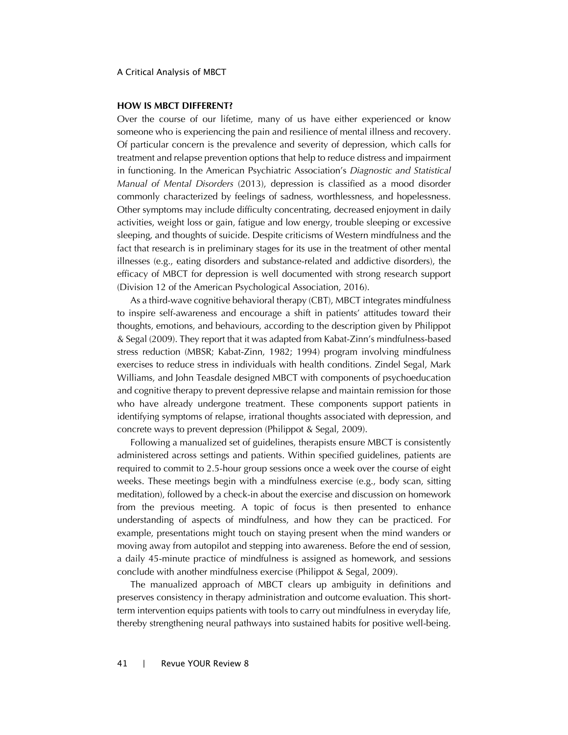### **HOW IS MBCT DIFFERENT?**

Over the course of our lifetime, many of us have either experienced or know someone who is experiencing the pain and resilience of mental illness and recovery. Of particular concern is the prevalence and severity of depression, which calls for treatment and relapse prevention options that help to reduce distress and impairment in functioning. In the American Psychiatric Association's *Diagnostic and Statistical Manual of Mental Disorders* (2013), depression is classified as a mood disorder commonly characterized by feelings of sadness, worthlessness, and hopelessness. Other symptoms may include difficulty concentrating, decreased enjoyment in daily activities, weight loss or gain, fatigue and low energy, trouble sleeping or excessive sleeping, and thoughts of suicide. Despite criticisms of Western mindfulness and the fact that research is in preliminary stages for its use in the treatment of other mental illnesses (e.g., eating disorders and substance-related and addictive disorders), the efficacy of MBCT for depression is well documented with strong research support (Division 12 of the American Psychological Association, 2016).

As a third-wave cognitive behavioral therapy (CBT), MBCT integrates mindfulness to inspire self-awareness and encourage a shift in patients' attitudes toward their thoughts, emotions, and behaviours, according to the description given by Philippot & Segal (2009). They report that it was adapted from Kabat-Zinn's mindfulness-based stress reduction (MBSR; Kabat-Zinn, 1982; 1994) program involving mindfulness exercises to reduce stress in individuals with health conditions. Zindel Segal, Mark Williams, and John Teasdale designed MBCT with components of psychoeducation and cognitive therapy to prevent depressive relapse and maintain remission for those who have already undergone treatment. These components support patients in identifying symptoms of relapse, irrational thoughts associated with depression, and concrete ways to prevent depression (Philippot & Segal, 2009).

Following a manualized set of guidelines, therapists ensure MBCT is consistently administered across settings and patients. Within specified guidelines, patients are required to commit to 2.5-hour group sessions once a week over the course of eight weeks. These meetings begin with a mindfulness exercise (e.g., body scan, sitting meditation), followed by a check-in about the exercise and discussion on homework from the previous meeting. A topic of focus is then presented to enhance understanding of aspects of mindfulness, and how they can be practiced. For example, presentations might touch on staying present when the mind wanders or moving away from autopilot and stepping into awareness. Before the end of session, a daily 45-minute practice of mindfulness is assigned as homework, and sessions conclude with another mindfulness exercise (Philippot & Segal, 2009).

The manualized approach of MBCT clears up ambiguity in definitions and preserves consistency in therapy administration and outcome evaluation. This shortterm intervention equips patients with tools to carry out mindfulness in everyday life, thereby strengthening neural pathways into sustained habits for positive well-being.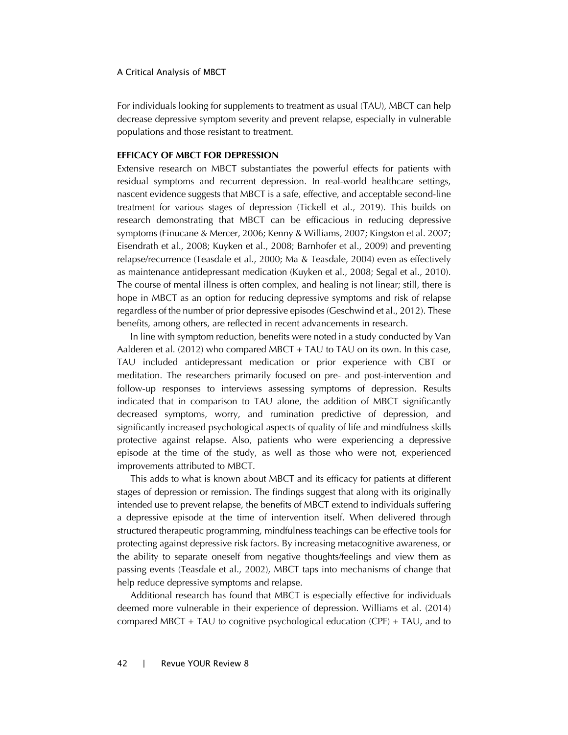For individuals looking for supplements to treatment as usual (TAU), MBCT can help decrease depressive symptom severity and prevent relapse, especially in vulnerable populations and those resistant to treatment.

# **EFFICACY OF MBCT FOR DEPRESSION**

Extensive research on MBCT substantiates the powerful effects for patients with residual symptoms and recurrent depression. In real-world healthcare settings, nascent evidence suggests that MBCT is a safe, effective, and acceptable second-line treatment for various stages of depression (Tickell et al., 2019). This builds on research demonstrating that MBCT can be efficacious in reducing depressive symptoms (Finucane & Mercer, 2006; Kenny & Williams, 2007; Kingston et al. 2007; Eisendrath et al., 2008; Kuyken et al., 2008; Barnhofer et al., 2009) and preventing relapse/recurrence (Teasdale et al., 2000; Ma & Teasdale, 2004) even as effectively as maintenance antidepressant medication (Kuyken et al., 2008; Segal et al., 2010). The course of mental illness is often complex, and healing is not linear; still, there is hope in MBCT as an option for reducing depressive symptoms and risk of relapse regardless of the number of prior depressive episodes (Geschwind et al., 2012). These benefits, among others, are reflected in recent advancements in research.

In line with symptom reduction, benefits were noted in a study conducted by Van Aalderen et al. (2012) who compared MBCT + TAU to TAU on its own. In this case, TAU included antidepressant medication or prior experience with CBT or meditation. The researchers primarily focused on pre- and post-intervention and follow-up responses to interviews assessing symptoms of depression. Results indicated that in comparison to TAU alone, the addition of MBCT significantly decreased symptoms, worry, and rumination predictive of depression, and significantly increased psychological aspects of quality of life and mindfulness skills protective against relapse. Also, patients who were experiencing a depressive episode at the time of the study, as well as those who were not, experienced improvements attributed to MBCT.

This adds to what is known about MBCT and its efficacy for patients at different stages of depression or remission. The findings suggest that along with its originally intended use to prevent relapse, the benefits of MBCT extend to individuals suffering a depressive episode at the time of intervention itself. When delivered through structured therapeutic programming, mindfulness teachings can be effective tools for protecting against depressive risk factors. By increasing metacognitive awareness, or the ability to separate oneself from negative thoughts/feelings and view them as passing events (Teasdale et al., 2002), MBCT taps into mechanisms of change that help reduce depressive symptoms and relapse.

Additional research has found that MBCT is especially effective for individuals deemed more vulnerable in their experience of depression. Williams et al. (2014) compared MBCT + TAU to cognitive psychological education (CPE) + TAU, and to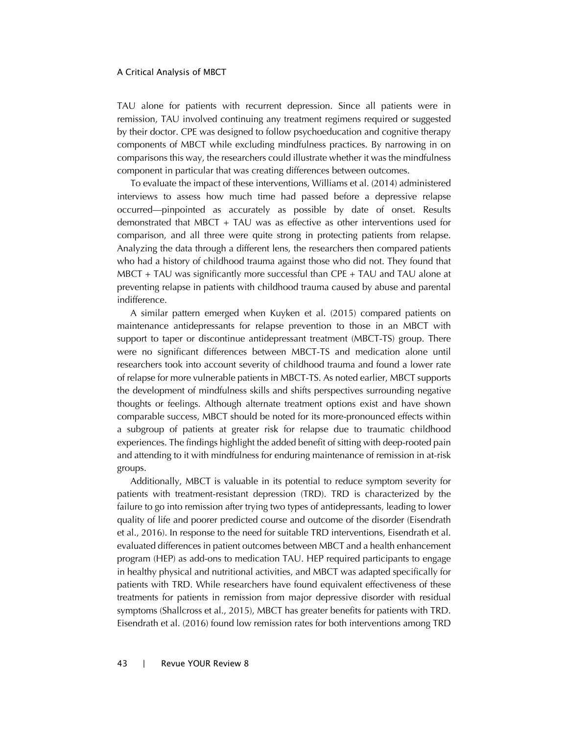TAU alone for patients with recurrent depression. Since all patients were in remission, TAU involved continuing any treatment regimens required or suggested by their doctor. CPE was designed to follow psychoeducation and cognitive therapy components of MBCT while excluding mindfulness practices. By narrowing in on comparisons this way, the researchers could illustrate whether it was the mindfulness component in particular that was creating differences between outcomes.

To evaluate the impact of these interventions, Williams et al. (2014) administered interviews to assess how much time had passed before a depressive relapse occurred—pinpointed as accurately as possible by date of onset. Results demonstrated that MBCT + TAU was as effective as other interventions used for comparison, and all three were quite strong in protecting patients from relapse. Analyzing the data through a different lens, the researchers then compared patients who had a history of childhood trauma against those who did not. They found that MBCT + TAU was significantly more successful than CPE + TAU and TAU alone at preventing relapse in patients with childhood trauma caused by abuse and parental indifference.

A similar pattern emerged when Kuyken et al. (2015) compared patients on maintenance antidepressants for relapse prevention to those in an MBCT with support to taper or discontinue antidepressant treatment (MBCT-TS) group. There were no significant differences between MBCT-TS and medication alone until researchers took into account severity of childhood trauma and found a lower rate of relapse for more vulnerable patients in MBCT-TS. As noted earlier, MBCT supports the development of mindfulness skills and shifts perspectives surrounding negative thoughts or feelings. Although alternate treatment options exist and have shown comparable success, MBCT should be noted for its more-pronounced effects within a subgroup of patients at greater risk for relapse due to traumatic childhood experiences. The findings highlight the added benefit of sitting with deep-rooted pain and attending to it with mindfulness for enduring maintenance of remission in at-risk groups.

Additionally, MBCT is valuable in its potential to reduce symptom severity for patients with treatment-resistant depression (TRD). TRD is characterized by the failure to go into remission after trying two types of antidepressants, leading to lower quality of life and poorer predicted course and outcome of the disorder (Eisendrath et al., 2016). In response to the need for suitable TRD interventions, Eisendrath et al. evaluated differences in patient outcomes between MBCT and a health enhancement program (HEP) as add-ons to medication TAU. HEP required participants to engage in healthy physical and nutritional activities, and MBCT was adapted specifically for patients with TRD. While researchers have found equivalent effectiveness of these treatments for patients in remission from major depressive disorder with residual symptoms (Shallcross et al., 2015), MBCT has greater benefits for patients with TRD. Eisendrath et al. (2016) found low remission rates for both interventions among TRD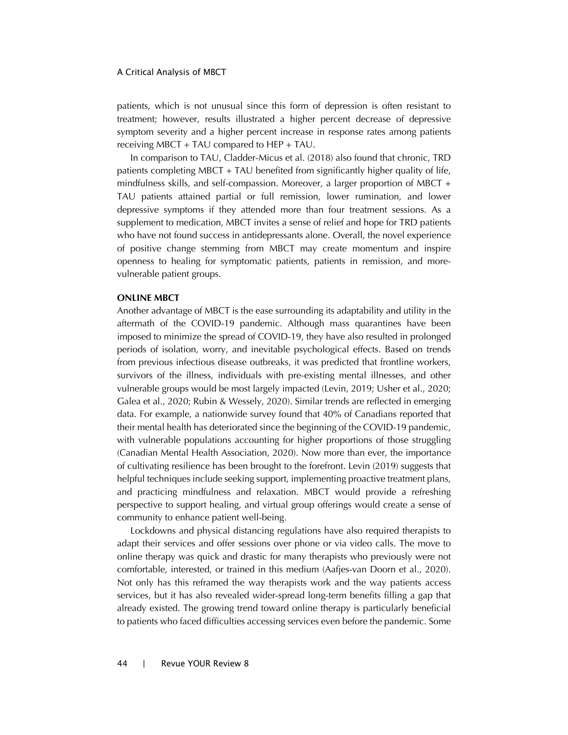patients, which is not unusual since this form of depression is often resistant to treatment; however, results illustrated a higher percent decrease of depressive symptom severity and a higher percent increase in response rates among patients receiving MBCT + TAU compared to HEP + TAU.

In comparison to TAU, Cladder-Micus et al. (2018) also found that chronic, TRD patients completing MBCT + TAU benefited from significantly higher quality of life, mindfulness skills, and self-compassion. Moreover, a larger proportion of MBCT + TAU patients attained partial or full remission, lower rumination, and lower depressive symptoms if they attended more than four treatment sessions. As a supplement to medication, MBCT invites a sense of relief and hope for TRD patients who have not found success in antidepressants alone. Overall, the novel experience of positive change stemming from MBCT may create momentum and inspire openness to healing for symptomatic patients, patients in remission, and morevulnerable patient groups.

# **ONLINE MBCT**

Another advantage of MBCT is the ease surrounding its adaptability and utility in the aftermath of the COVID-19 pandemic. Although mass quarantines have been imposed to minimize the spread of COVID-19, they have also resulted in prolonged periods of isolation, worry, and inevitable psychological effects. Based on trends from previous infectious disease outbreaks, it was predicted that frontline workers, survivors of the illness, individuals with pre-existing mental illnesses, and other vulnerable groups would be most largely impacted (Levin, 2019; Usher et al., 2020; Galea et al., 2020; Rubin & Wessely, 2020). Similar trends are reflected in emerging data. For example, a nationwide survey found that 40% of Canadians reported that their mental health has deteriorated since the beginning of the COVID-19 pandemic, with vulnerable populations accounting for higher proportions of those struggling (Canadian Mental Health Association, 2020). Now more than ever, the importance of cultivating resilience has been brought to the forefront. Levin (2019) suggests that helpful techniques include seeking support, implementing proactive treatment plans, and practicing mindfulness and relaxation. MBCT would provide a refreshing perspective to support healing, and virtual group offerings would create a sense of community to enhance patient well-being.

Lockdowns and physical distancing regulations have also required therapists to adapt their services and offer sessions over phone or via video calls. The move to online therapy was quick and drastic for many therapists who previously were not comfortable, interested, or trained in this medium (Aafjes-van Doorn et al., 2020). Not only has this reframed the way therapists work and the way patients access services, but it has also revealed wider-spread long-term benefits filling a gap that already existed. The growing trend toward online therapy is particularly beneficial to patients who faced difficulties accessing services even before the pandemic. Some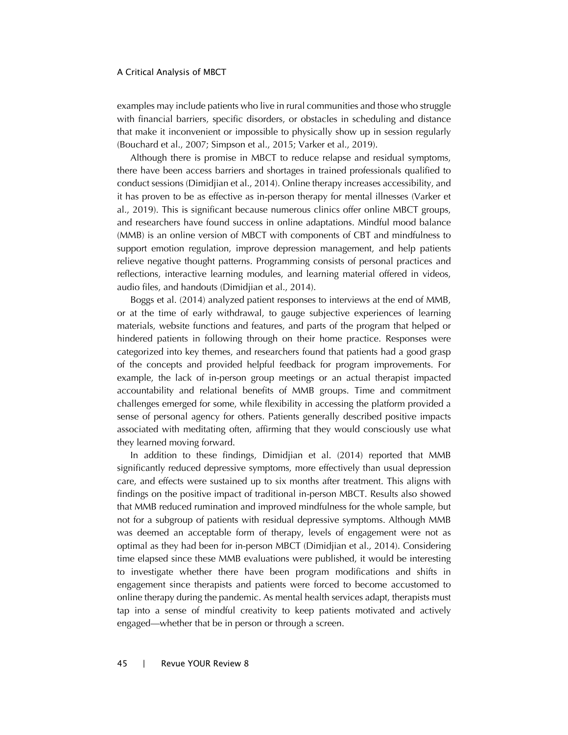examples may include patients who live in rural communities and those who struggle with financial barriers, specific disorders, or obstacles in scheduling and distance that make it inconvenient or impossible to physically show up in session regularly (Bouchard et al., 2007; Simpson et al., 2015; Varker et al., 2019).

Although there is promise in MBCT to reduce relapse and residual symptoms, there have been access barriers and shortages in trained professionals qualified to conduct sessions (Dimidjian et al., 2014). Online therapy increases accessibility, and it has proven to be as effective as in-person therapy for mental illnesses (Varker et al., 2019). This is significant because numerous clinics offer online MBCT groups, and researchers have found success in online adaptations. Mindful mood balance (MMB) is an online version of MBCT with components of CBT and mindfulness to support emotion regulation, improve depression management, and help patients relieve negative thought patterns. Programming consists of personal practices and reflections, interactive learning modules, and learning material offered in videos, audio files, and handouts (Dimidjian et al., 2014).

Boggs et al. (2014) analyzed patient responses to interviews at the end of MMB, or at the time of early withdrawal, to gauge subjective experiences of learning materials, website functions and features, and parts of the program that helped or hindered patients in following through on their home practice. Responses were categorized into key themes, and researchers found that patients had a good grasp of the concepts and provided helpful feedback for program improvements. For example, the lack of in-person group meetings or an actual therapist impacted accountability and relational benefits of MMB groups. Time and commitment challenges emerged for some, while flexibility in accessing the platform provided a sense of personal agency for others. Patients generally described positive impacts associated with meditating often, affirming that they would consciously use what they learned moving forward.

In addition to these findings, Dimidjian et al. (2014) reported that MMB significantly reduced depressive symptoms, more effectively than usual depression care, and effects were sustained up to six months after treatment. This aligns with findings on the positive impact of traditional in-person MBCT. Results also showed that MMB reduced rumination and improved mindfulness for the whole sample, but not for a subgroup of patients with residual depressive symptoms. Although MMB was deemed an acceptable form of therapy, levels of engagement were not as optimal as they had been for in-person MBCT (Dimidjian et al., 2014). Considering time elapsed since these MMB evaluations were published, it would be interesting to investigate whether there have been program modifications and shifts in engagement since therapists and patients were forced to become accustomed to online therapy during the pandemic. As mental health services adapt, therapists must tap into a sense of mindful creativity to keep patients motivated and actively engaged—whether that be in person or through a screen.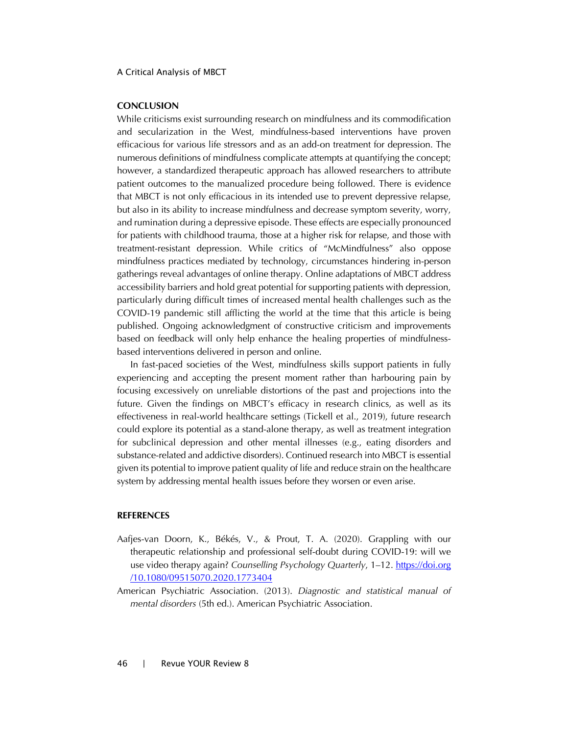# **CONCLUSION**

While criticisms exist surrounding research on mindfulness and its commodification and secularization in the West, mindfulness-based interventions have proven efficacious for various life stressors and as an add-on treatment for depression. The numerous definitions of mindfulness complicate attempts at quantifying the concept; however, a standardized therapeutic approach has allowed researchers to attribute patient outcomes to the manualized procedure being followed. There is evidence that MBCT is not only efficacious in its intended use to prevent depressive relapse, but also in its ability to increase mindfulness and decrease symptom severity, worry, and rumination during a depressive episode. These effects are especially pronounced for patients with childhood trauma, those at a higher risk for relapse, and those with treatment-resistant depression. While critics of "McMindfulness" also oppose mindfulness practices mediated by technology, circumstances hindering in-person gatherings reveal advantages of online therapy. Online adaptations of MBCT address accessibility barriers and hold great potential for supporting patients with depression, particularly during difficult times of increased mental health challenges such as the COVID-19 pandemic still afflicting the world at the time that this article is being published. Ongoing acknowledgment of constructive criticism and improvements based on feedback will only help enhance the healing properties of mindfulnessbased interventions delivered in person and online.

In fast-paced societies of the West, mindfulness skills support patients in fully experiencing and accepting the present moment rather than harbouring pain by focusing excessively on unreliable distortions of the past and projections into the future. Given the findings on MBCT's efficacy in research clinics, as well as its effectiveness in real-world healthcare settings (Tickell et al., 2019), future research could explore its potential as a stand-alone therapy, as well as treatment integration for subclinical depression and other mental illnesses (e.g., eating disorders and substance-related and addictive disorders). Continued research into MBCT is essential given its potential to improve patient quality of life and reduce strain on the healthcare system by addressing mental health issues before they worsen or even arise.

## **REFERENCES**

- Aafjes-van Doorn, K., Békés, V., & Prout, T. A. (2020). Grappling with our therapeutic relationship and professional self-doubt during COVID-19: will we use video therapy again? *Counselling Psychology Quarterly*, 1–12. [https://doi.org](https://doi.org/10.1080/09515070.2020.1773404) [/10.1080/09515070.2020.1773404](https://doi.org/10.1080/09515070.2020.1773404)
- American Psychiatric Association. (2013). *Diagnostic and statistical manual of mental disorders* (5th ed.). American Psychiatric Association.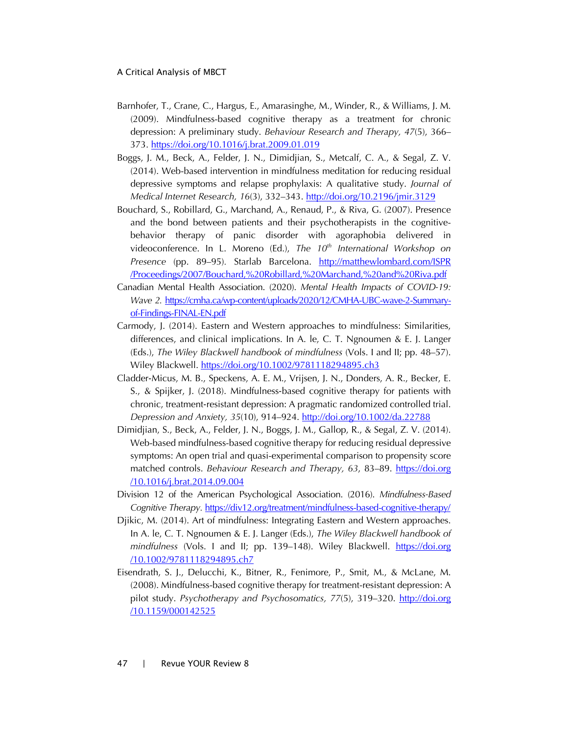- Barnhofer, T., Crane, C., Hargus, E., Amarasinghe, M., Winder, R., & Williams, J. M. (2009). Mindfulness-based cognitive therapy as a treatment for chronic depression: A preliminary study. *Behaviour Research and Therapy, 47*(5), 366– 373. <https://doi.org/10.1016/j.brat.2009.01.019>
- Boggs, J. M., Beck, A., Felder, J. N., Dimidjian, S., Metcalf, C. A., & Segal, Z. V. (2014). Web-based intervention in mindfulness meditation for reducing residual depressive symptoms and relapse prophylaxis: A qualitative study. *Journal of Medical Internet Research, 16*(3), 332–343. <http://doi.org/10.2196/jmir.3129>
- Bouchard, S., Robillard, G., Marchand, A., Renaud, P., & Riva, G. (2007). Presence and the bond between patients and their psychotherapists in the cognitivebehavior therapy of panic disorder with agoraphobia delivered in videoconference. In L. Moreno (Ed.), *The 10th International Workshop on Presence* (pp. 89–95)*.* Starlab Barcelona. [http://matthewlombard.com/ISPR](http://matthewlombard.com/ISPR/Proceedings/2007/Bouchard, Robillard, Marchand, and Riva.pdf) [/Proceedings/2007/Bouchard,%20Robillard,%20Marchand,%20and%20Riva.pdf](http://matthewlombard.com/ISPR/Proceedings/2007/Bouchard, Robillard, Marchand, and Riva.pdf)
- Canadian Mental Health Association. (2020). *Mental Health Impacts of COVID-19: Wave 2.* [https://cmha.ca/wp-content/uploads/2020/12/CMHA-UBC-wave-2-Summary](https://cmha.ca/wp-content/uploads/2020/12/CMHA-UBC-wave-2-Summary-of-Findings-FINAL-EN.pdf)of-Findings-FINAL-EN.pdf
- Carmody, J. (2014). Eastern and Western approaches to mindfulness: Similarities, differences, and clinical implications. In A. le, C. T. Ngnoumen & E. J. Langer (Eds.), *The Wiley Blackwell handbook of mindfulness* (Vols. I and II; pp. 48–57). Wiley Blackwell. <https://doi.org/10.1002/9781118294895.ch3>
- Cladder-Micus, M. B., Speckens, A. E. M., Vrijsen, J. N., Donders, A. R., Becker, E. S., & Spijker, J. (2018). Mindfulness-based cognitive therapy for patients with chronic, treatment-resistant depression: A pragmatic randomized controlled trial. *Depression and Anxiety, 35*(10), 914–924. <http://doi.org/10.1002/da.22788>
- Dimidjian, S., Beck, A., Felder, J. N., Boggs, J. M., Gallop, R., & Segal, Z. V. (2014). Web-based mindfulness-based cognitive therapy for reducing residual depressive symptoms: An open trial and quasi-experimental comparison to propensity score matched controls. *Behaviour Research and Therapy, 63*, 83–89. [https://doi.org](https://doi.org/10.1016/j.brat.2014.09.004) [/10.1016/j.brat.2014.09.004](https://doi.org/10.1016/j.brat.2014.09.004)
- Division 12 of the American Psychological Association. (2016). *Mindfulness-Based Cognitive Therapy.* <https://div12.org/treatment/mindfulness-based-cognitive-therapy/>
- Djikic, M. (2014). Art of mindfulness: Integrating Eastern and Western approaches. In A. le, C. T. Ngnoumen & E. J. Langer (Eds.), *The Wiley Blackwell handbook of mindfulness* (Vols. I and II; pp. 139–148). Wiley Blackwell. [https://doi.org](https://doi.org/10.1002/9781118294895.ch7) [/10.1002/9781118294895.ch7](https://doi.org/10.1002/9781118294895.ch7)
- Eisendrath, S. J., Delucchi, K., Bitner, R., Fenimore, P., Smit, M., & McLane, M. (2008). Mindfulness-based cognitive therapy for treatment-resistant depression: A pilot study. *Psychotherapy and Psychosomatics, 77*(5), 319–320. [http://doi.org](http://doi.org/10.1159/000142525) [/10.1159/000142525](http://doi.org/10.1159/000142525)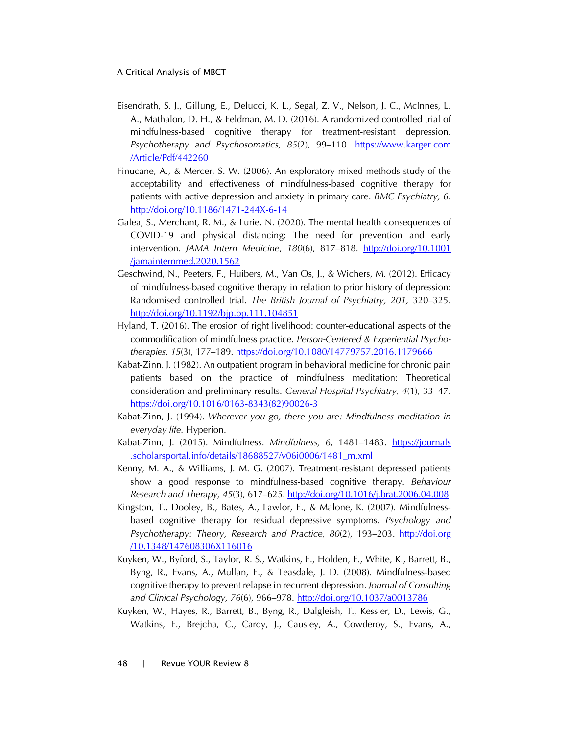- Eisendrath, S. J., Gillung, E., Delucci, K. L., Segal, Z. V., Nelson, J. C., McInnes, L. A., Mathalon, D. H., & Feldman, M. D. (2016). A randomized controlled trial of mindfulness-based cognitive therapy for treatment-resistant depression. *Psychotherapy and Psychosomatics, 85*(2), 99–110. [https://www.karger.com](https://www.karger.com/Article/Pdf/442260) [/Article/Pdf/442260](https://www.karger.com/Article/Pdf/442260)
- Finucane, A., & Mercer, S. W. (2006). An exploratory mixed methods study of the acceptability and effectiveness of mindfulness-based cognitive therapy for patients with active depression and anxiety in primary care. *BMC Psychiatry, 6*. <http://doi.org/10.1186/1471-244X-6-14>
- Galea, S., Merchant, R. M., & Lurie, N. (2020). The mental health consequences of COVID-19 and physical distancing: The need for prevention and early intervention. *JAMA Intern Medicine*, *180*(6), 817–818. [http://doi.org/10.1001](http://doi.org/10.1001/jamainternmed.2020.1562) [/jamainternmed.2020.1562](http://doi.org/10.1001/jamainternmed.2020.1562)
- Geschwind, N., Peeters, F., Huibers, M., Van Os, J., & Wichers, M. (2012). Efficacy of mindfulness-based cognitive therapy in relation to prior history of depression: Randomised controlled trial. *The British Journal of Psychiatry, 201,* 320–325. <http://doi.org/10.1192/bjp.bp.111.104851>
- Hyland, T. (2016). The erosion of right livelihood: counter-educational aspects of the commodification of mindfulness practice. *Person-Centered & Experiential Psychotherapies, 15*(3), 177–189. <https://doi.org/10.1080/14779757.2016.1179666>
- Kabat-Zinn, J. (1982). An outpatient program in behavioral medicine for chronic pain patients based on the practice of mindfulness meditation: Theoretical consideration and preliminary results. *General Hospital Psychiatry, 4*(1), 33–47. [https://doi.org/10.1016/0163-8343\(82\)90026-3](https://doi.org/10.1016/0163-8343(82)90026-3)
- Kabat-Zinn, J. (1994). *Wherever you go, there you are: Mindfulness meditation in everyday life.* Hyperion.
- Kabat-Zinn, J. (2015). Mindfulness. *Mindfulness, 6*, 1481–1483. [https://journals](https://journals.scholarsportal.info/details/18688527/v06i0006/1481_m.xml) [.scholarsportal.info/details/18688527/v06i0006/1481\\_m.xml](https://journals.scholarsportal.info/details/18688527/v06i0006/1481_m.xml)
- Kenny, M. A., & Williams, J. M. G. (2007). Treatment-resistant depressed patients show a good response to mindfulness-based cognitive therapy. *Behaviour Research and Therapy, 45*(3), 617–625. <http://doi.org/10.1016/j.brat.2006.04.008>
- Kingston, T., Dooley, B., Bates, A., Lawlor, E., & Malone, K. (2007). Mindfulnessbased cognitive therapy for residual depressive symptoms. *Psychology and Psychotherapy: Theory, Research and Practice, 80*(2), 193–203. [http://doi.org](http://doi.org/10.1348/147608306X116016) [/10.1348/147608306X116016](http://doi.org/10.1348/147608306X116016)
- Kuyken, W., Byford, S., Taylor, R. S., Watkins, E., Holden, E., White, K., Barrett, B., Byng, R., Evans, A., Mullan, E., & Teasdale, J. D. (2008). Mindfulness-based cognitive therapy to prevent relapse in recurrent depression. *Journal of Consulting and Clinical Psychology, 76*(6), 966–978. <http://doi.org/10.1037/a0013786>
- Kuyken, W., Hayes, R., Barrett, B., Byng, R., Dalgleish, T., Kessler, D., Lewis, G., Watkins, E., Brejcha, C., Cardy, J., Causley, A., Cowderoy, S., Evans, A.,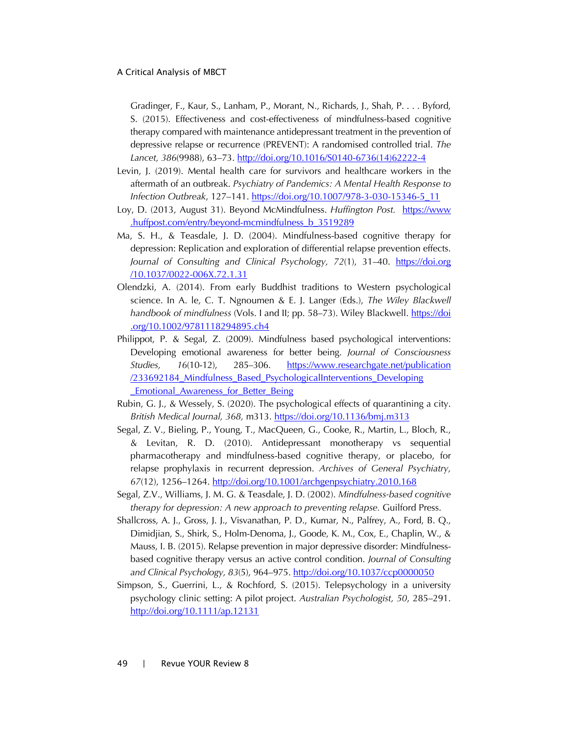Gradinger, F., Kaur, S., Lanham, P., Morant, N., Richards, J., Shah, P. . . . Byford, S. (2015). Effectiveness and cost-effectiveness of mindfulness-based cognitive therapy compared with maintenance antidepressant treatment in the prevention of depressive relapse or recurrence (PREVENT): A randomised controlled trial. *The Lancet, 386*(9988), 63–73. [http://doi.org/10.1016/S0140-6736\(14\)62222-4](http://doi.org/10.1016/S0140-6736(14)62222-4)

- Levin, J. (2019). Mental health care for survivors and healthcare workers in the aftermath of an outbreak. *Psychiatry of Pandemics: A Mental Health Response to Infection Outbreak*, 127–141. [https://doi.org/10.1007/978-3-030-15346-5\\_11](https://doi.org/10.1007/978-3-030-15346-5_11)
- Loy, D. (2013, August 31). Beyond McMindfulness. *Huffington Post.* [https://www](https://www.huffpost.com/entry/beyond-mcmindfulness_b_3519289) [.huffpost.com/entry/beyond-mcmindfulness\\_b\\_3519289](https://www.huffpost.com/entry/beyond-mcmindfulness_b_3519289)
- Ma, S. H., & Teasdale, J. D. (2004). Mindfulness-based cognitive therapy for depression: Replication and exploration of differential relapse prevention effects. *Journal of Consulting and Clinical Psychology, 72*(1), 31–40. [https://doi.org](https://doi.org/10.1037/0022-006X.72.1.31) [/10.1037/0022-006X.72.1.31](https://doi.org/10.1037/0022-006X.72.1.31)
- Olendzki, A. (2014). From early Buddhist traditions to Western psychological science. In A. le, C. T. Ngnoumen & E. J. Langer (Eds.), *The Wiley Blackwell handbook of mindfulness* (Vols. I and II; pp. 58–73). Wiley Blackwell. [https://doi](https://doi.org/10.1002/9781118294895.ch4) [.org/10.1002/9781118294895.ch4](https://doi.org/10.1002/9781118294895.ch4)
- Philippot, P. & Segal, Z. (2009). Mindfulness based psychological interventions: Developing emotional awareness for better being. *Journal of Consciousness Studies, 16*(10-12), 285–306. https://www.researchgate.net/publication [/233692184\\_Mindfulness\\_Based\\_PsychologicalInterventions\\_Developing](https://www.researchgate.net/publication/233692184_Mindfulness_Based_PsychologicalInterventions_Developing_Emotional_Awareness_for_Better_Being) **Emotional Awareness for Better Being**
- Rubin, G. J., & Wessely, S. (2020). The psychological effects of quarantining a city. *British Medical Journal, 368,* m313. <https://doi.org/10.1136/bmj.m313>
- Segal, Z. V., Bieling, P., Young, T., MacQueen, G., Cooke, R., Martin, L., Bloch, R., & Levitan, R. D. (2010). Antidepressant monotherapy vs sequential pharmacotherapy and mindfulness-based cognitive therapy, or placebo, for relapse prophylaxis in recurrent depression. *Archives of General Psychiatry, 67*(12), 1256–1264. <http://doi.org/10.1001/archgenpsychiatry.2010.168>
- Segal, Z.V., Williams, J. M. G. & Teasdale, J. D. (2002). *Mindfulness-based cognitive therapy for depression: A new approach to preventing relapse.* Guilford Press.
- Shallcross, A. J., Gross, J. J., Visvanathan, P. D., Kumar, N., Palfrey, A., Ford, B. Q., Dimidjian, S., Shirk, S., Holm-Denoma, J., Goode, K. M., Cox, E., Chaplin, W., & Mauss, I. B. (2015). Relapse prevention in major depressive disorder: Mindfulnessbased cognitive therapy versus an active control condition. *Journal of Consulting and Clinical Psychology, 83*(5), 964–975. <http://doi.org/10.1037/ccp0000050>
- Simpson, S., Guerrini, L., & Rochford, S. (2015). Telepsychology in a university psychology clinic setting: A pilot project. *Australian Psychologist, 50*, 285–291. <http://doi.org/10.1111/ap.12131>